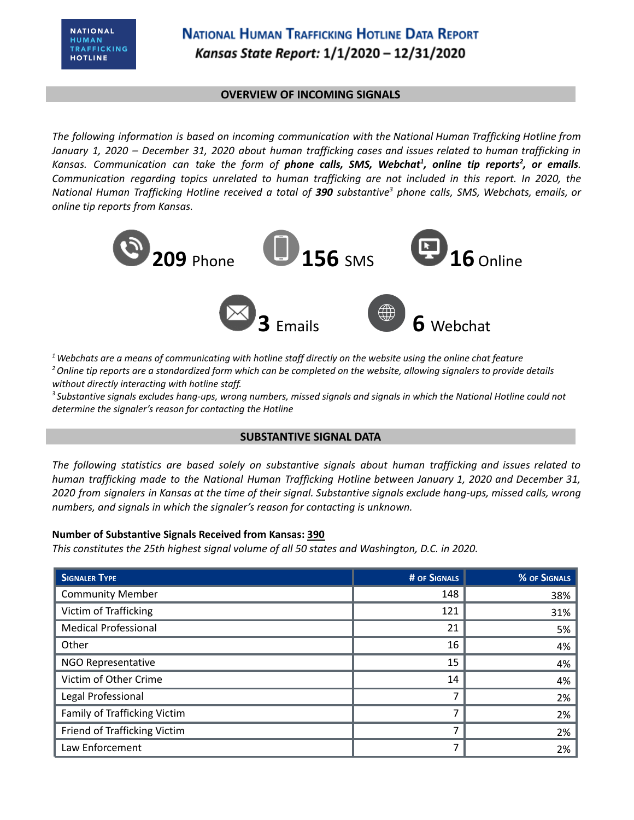# **NATIONAL HUMAN TRAFFICKING HOTLINE DATA REPORT** Kansas State Report: 1/1/2020 - 12/31/2020

#### **OVERVIEW OF INCOMING SIGNALS**

*The following information is based on incoming communication with the National Human Trafficking Hotline from* January 1, 2020 - December 31, 2020 about human trafficking cases and issues related to human trafficking in Kansas. Communication can take the form of **phone calls, SMS, Webchat<sup>1</sup>, online tip reports<sup>2</sup>, or emails.** *Communication regarding topics unrelated to human trafficking are not included in this report. In 2020, the* National Human Trafficking Hotline received a total of 390 substantive<sup>3</sup> phone calls, SMS, Webchats, emails, or *online tip reports from Kansas.*



 $1$  Webchats are a means of communicating with hotline staff directly on the website using the online chat feature <sup>2</sup> Online tip reports are a standardized form which can be completed on the website, allowing signalers to provide details *without directly interacting with hotline staff.*

<sup>3</sup> Substantive signals excludes hang-ups, wrong numbers, missed signals and signals in which the National Hotline could not *determine the signaler's reason for contacting the Hotline*

### **SUBSTANTIVE SIGNAL DATA**

*The following statistics are based solely on substantive signals about human trafficking and issues related to human trafficking made to the National Human Trafficking Hotline between January 1, 2020 and December 31,* 2020 from signalers in Kansas at the time of their signal. Substantive signals exclude hang-ups, missed calls, wrong *numbers, and signals in which the signaler's reason for contacting is unknown.*

### **Number of Substantive Signals Received from Kansas: 390**

*This constitutes the 25th highest signal volume of all 50 states and Washington, D.C. in 2020.*

| <b>SIGNALER TYPE</b>         | <b># OF SIGNALS</b> | % OF SIGNALS |
|------------------------------|---------------------|--------------|
| <b>Community Member</b>      | 148                 | 38%          |
| Victim of Trafficking        | 121                 | 31%          |
| <b>Medical Professional</b>  | 21                  | 5%           |
| Other                        | 16                  | 4%           |
| NGO Representative           | 15                  | 4%           |
| Victim of Other Crime        | 14                  | 4%           |
| Legal Professional           |                     | 2%           |
| Family of Trafficking Victim | 7                   | 2%           |
| Friend of Trafficking Victim | ⇁                   | 2%           |
| Law Enforcement              | 7                   | 2%           |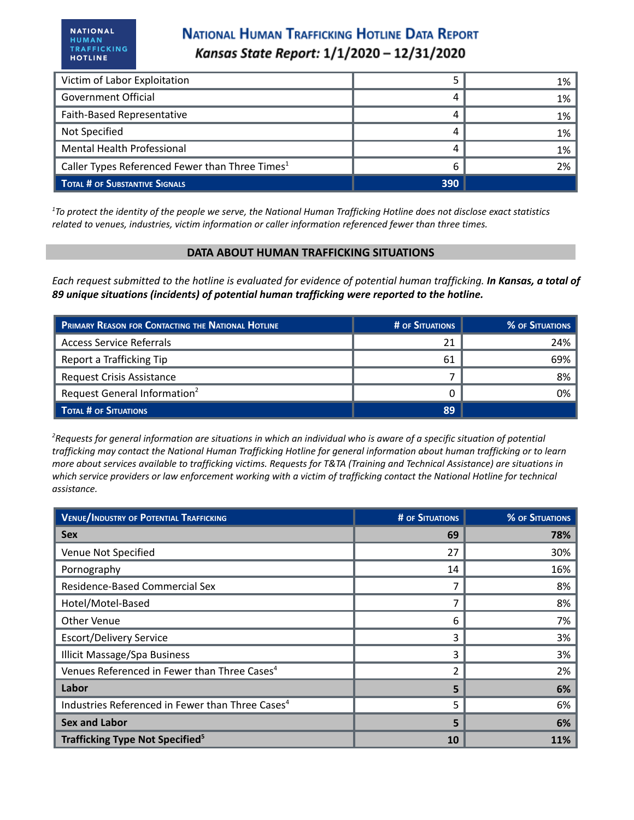## **NATIONAL HUMAN TRAFFICKING HOTLINE DATA REPORT** Kansas State Report: 1/1/2020 - 12/31/2020

| Victim of Labor Exploitation                                |     | 1% |
|-------------------------------------------------------------|-----|----|
| Government Official                                         |     | 1% |
| Faith-Based Representative                                  |     | 1% |
| Not Specified                                               |     | 1% |
| <b>Mental Health Professional</b>                           |     | 1% |
| Caller Types Referenced Fewer than Three Times <sup>1</sup> | 6   | 2% |
| <b>TOTAL # OF SUBSTANTIVE SIGNALS</b>                       | 390 |    |

<sup>1</sup>To protect the identity of the people we serve, the National Human Trafficking Hotline does not disclose exact statistics *related to venues, industries, victim information or caller information referenced fewer than three times.*

#### **DATA ABOUT HUMAN TRAFFICKING SITUATIONS**

Each request submitted to the hotline is evaluated for evidence of potential human trafficking. In Kansas, a total of *89 unique situations (incidents) of potential human trafficking were reported to the hotline.*

| PRIMARY REASON FOR CONTACTING THE NATIONAL HOTLINE | # OF SITUATIONS | % OF SITUATIONS |
|----------------------------------------------------|-----------------|-----------------|
| <b>Access Service Referrals</b>                    | 21              | 24%             |
| Report a Trafficking Tip                           | 61              | 69%             |
| Request Crisis Assistance                          |                 | 8%              |
| Request General Information <sup>2</sup>           |                 | 0%              |
| TOTAL # OF SITUATIONS                              | 89              |                 |

<sup>2</sup>Requests for general information are situations in which an individual who is aware of a specific situation of potential trafficking may contact the National Human Trafficking Hotline for general information about human trafficking or to learn more about services available to trafficking victims. Requests for T&TA (Training and Technical Assistance) are situations in which service providers or law enforcement working with a victim of trafficking contact the National Hotline for technical *assistance.*

| <b>VENUE/INDUSTRY OF POTENTIAL TRAFFICKING</b>               | <b># OF SITUATIONS</b> | % OF SITUATIONS |
|--------------------------------------------------------------|------------------------|-----------------|
| <b>Sex</b>                                                   | 69                     | 78%             |
| Venue Not Specified                                          | 27                     | 30%             |
| Pornography                                                  | 14                     | 16%             |
| Residence-Based Commercial Sex                               |                        | 8%              |
| Hotel/Motel-Based                                            |                        | 8%              |
| Other Venue                                                  | 6                      | 7%              |
| <b>Escort/Delivery Service</b>                               | 3                      | 3%              |
| <b>Illicit Massage/Spa Business</b>                          | 3                      | 3%              |
| Venues Referenced in Fewer than Three Cases <sup>4</sup>     | 2                      | 2%              |
| Labor                                                        | 5                      | 6%              |
| Industries Referenced in Fewer than Three Cases <sup>4</sup> | 5                      | 6%              |
| <b>Sex and Labor</b>                                         | 5                      | 6%              |
| <b>Trafficking Type Not Specified</b> <sup>5</sup>           | 10                     | 11%             |